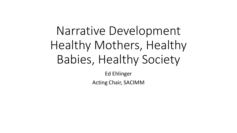# Narrative Development Healthy Mothers, Healthy Babies, Healthy Society

Ed Ehlinger

Acting Chair, SACIMM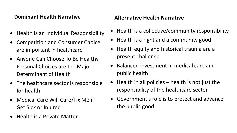#### **Dominant Health Narrative**

- Health is an Individual Responsibility
- Competition and Consumer Choice are important in healthcare
- Anyone Can Choose To Be Healthy Personal Choices are the Major Determinant of Health
- The healthcare sector is responsible for health
- Medical Care Will Cure/Fix Me if I Get Sick or Injured
- Health is a Private Matter

#### **Alternative Health Narrative**

- Health is a collective/community responsibility
- Health is a right and a community good
- Health equity and historical trauma are a present challenge
- Balanced investment in medical care and public health
- Health in all policies health is not just the responsibility of the healthcare sector
- Government's role is to protect and advance the public good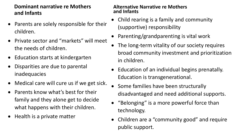#### **Dominant narrative re Mothers and Infants**

- Parents are solely responsible for their children.
- Private sector and "markets" will meet the needs of children.
- Education starts at kindergarten
- Disparities are due to parental inadequacies
- Medical care will cure us if we get sick.
- Parents know what's best for their family and they alone get to decide what happens with their children.
- Health is a private matter

#### **Alternative Narrative re Mothers and Infants**

- Child rearing is a family and community (supportive) responsibility
- Parenting/grandparenting is vital work
- The long-term vitality of our society requires broad community investment and prioritization in children.
- Education of an individual begins prenatally. Education is transgenerational.
- Some families have been structurally disadvantaged and need additional supports.
- "Belonging" is a more powerful force than technology.
- Children are a "community good" and require public support.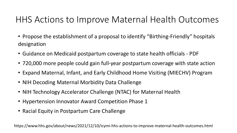## HHS Actions to Improve Maternal Health Outcomes

- Propose the establishment of a proposal to identify "Birthing-Friendly" hospitals designation
- Guidance on Medicaid postpartum coverage to state health officials PDF
- 720,000 more people could gain full-year postpartum coverage with state action
- Expand Maternal, Infant, and Early Childhood Home Visiting (MIECHV) Program
- NIH Decoding Maternal Morbidity Data Challenge
- NIH Technology Accelerator Challenge (NTAC) for Maternal Health
- Hypertension Innovator Award Competition Phase 1
- Racial Equity in Postpartum Care Challenge

https://www.hhs.gov/about/news/2021/12/10/icymi-hhs-actions-to-improve-maternal-health-outcomes.html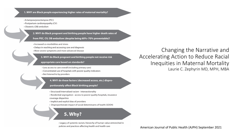1. WHY are Black people experiencing higher rates of maternal mortality?

· Eclampsia/preeclampsia (PEC)

- Postpartum cardiomyopathy (CV)
- Obstetric (OB) embolism

2. WHY do Black pregnant and birthing people have higher death rates of

from PEC, CV, OB embolism (despite being 60%-70% preventable)?

· Increased co-morbidities and stress

- Delays in reaching and accessing care and diagnosis
- More severe symptoms and more advanced disease

3. WHY do Black pregnant and birthing people not receive risk

- appropriate care based on standards?
- Less access to care overall (including primary care) • Concentrated use of hospitals with poorer quality indicators • Not listened to by providers

4. WHY do these factors (decreased access, etc.) dispro-

#### portionately affect Black birthing people?

• Structural/internalized racism - intersectionality

• Residential segregation - access to poorer quality hospitals, insurance coverage disparities

• Implicit and explicit bias of providers

• Disproportionate impact of social determinants of health (SDOH)

#### **5. Why?**

• Legacy of systemic racism, hierarchy of human value entrenched in policies and practices affecting health and health care

Changing the Narrative and Accelerating Action to Reduce Racial Inequities in Maternal Mortality Laurie C. Zephyrin MD, MPH, MBA

American Journal of Public Health (AJPH) September 2021